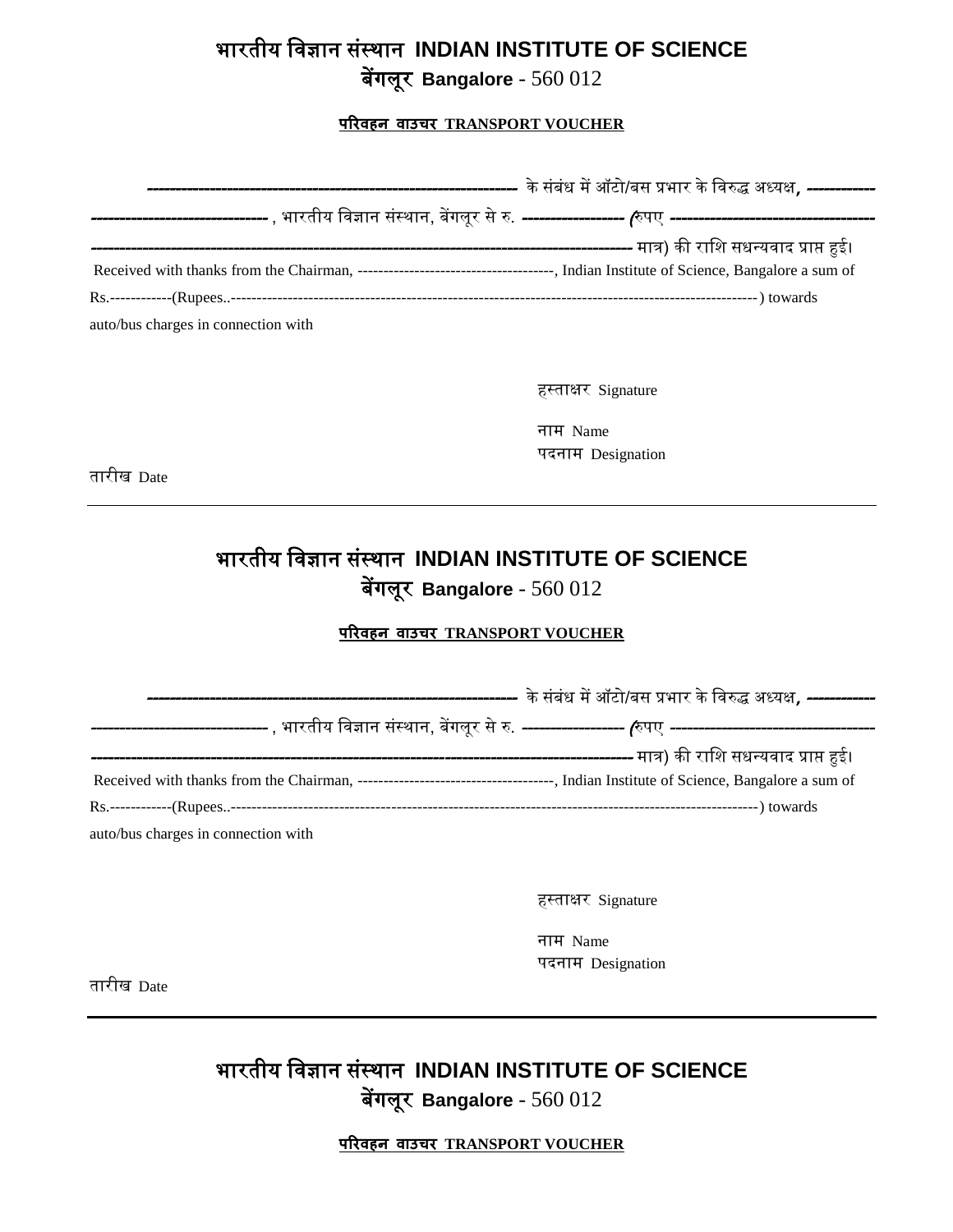# भारतीय विज्ञान संस्थान **INDIAN INSTITUTE OF SCIENCE**

बेंगलूर **Bangalore** - 560 012

#### **परिवहन वाउचि TRANSPORT VOUCHER**

| auto/bus charges in connection with |  |
|-------------------------------------|--|

हस्ताक्षर Signature

नाम Name पदनाम Designation

तारीख Date

## भारतीय विज्ञान संस्थान **INDIAN INSTITUTE OF SCIENCE** बेंगलूर **Bangalore** - 560 012

#### **परिवहन वाउचि TRANSPORT VOUCHER**

|                                     | , भारतीय विज्ञान संस्थान, बेंगलुर से रु. <i>-------------------- (</i> रुपए <i>-----------------------------------</i> |
|-------------------------------------|------------------------------------------------------------------------------------------------------------------------|
|                                     | -------------------------------- मात्र) की राशि सधन्यवाद प्राप्त हुई।                                                  |
|                                     |                                                                                                                        |
|                                     |                                                                                                                        |
| auto/bus charges in connection with |                                                                                                                        |

हस्ताक्षर Signature

नाम Name पदनाम Designation

तारीख Date

## भारतीय विज्ञान संस्थान **INDIAN INSTITUTE OF SCIENCE** बेंगलूर **Bangalore** - 560 012

**परिवहन वाउचि TRANSPORT VOUCHER**